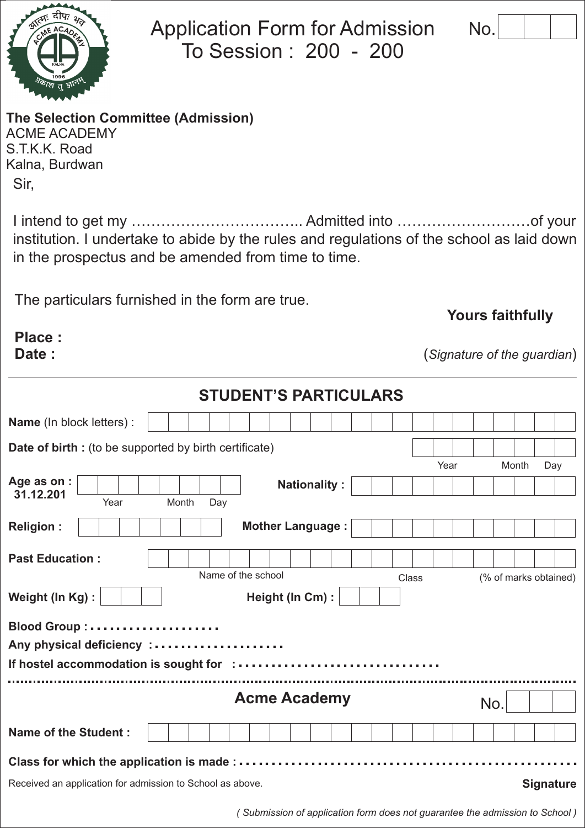**Yours faithfully**

(*Signature of the guardian*)

*lication form does not guarantee the admission to School*)

**The Selection Committee (Admission)** ACME ACADEMY

S.T.K.K. Road Kalna, Burdwan Sir,

**Place : Date :**

I intend to get my …………………………….. Admitted into ………………………of your institution. I undertake to abide by the rules and regulations of the school as laid down in the prospectus and be amended from time to time.

Application Form for Admission

To Session : 200 - 200

The particulars furnished in the form are true.

|                                                               |              | <b>STUDENT'S PARTICULARS</b>                                                |       |                       |
|---------------------------------------------------------------|--------------|-----------------------------------------------------------------------------|-------|-----------------------|
| Name (In block letters) :                                     |              |                                                                             |       |                       |
| <b>Date of birth :</b> (to be supported by birth certificate) |              |                                                                             |       |                       |
| Age as on:<br>31.12.201<br>Year                               | Month<br>Day | <b>Nationality:</b>                                                         | Year  | Month<br>Day          |
| <b>Religion:</b>                                              |              | <b>Mother Language:</b>                                                     |       |                       |
| <b>Past Education:</b>                                        |              | Name of the school                                                          | Class | (% of marks obtained) |
| Weight (In Kg):                                               |              | Height (In Cm):                                                             |       |                       |
| Any physical deficiency :                                     |              |                                                                             |       |                       |
|                                                               |              | <b>Acme Academy</b>                                                         |       | No.                   |
| <b>Name of the Student:</b>                                   |              |                                                                             |       |                       |
| Class for which the application is made:                      |              |                                                                             |       |                       |
| Received an application for admission to School as above.     |              |                                                                             |       | <b>Signature</b>      |
|                                                               |              | (Submission of application form does not quarantee the admission to School) |       |                       |



| Е |  |  |
|---|--|--|
|   |  |  |